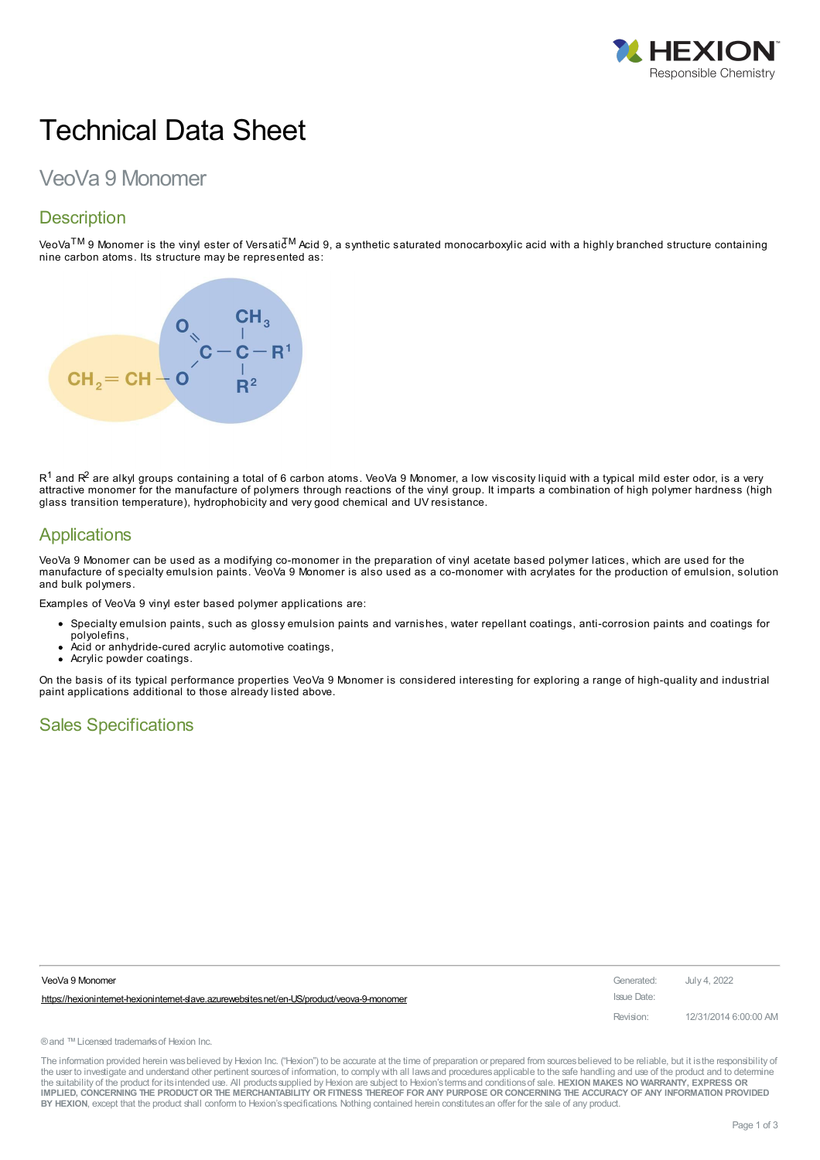

# Technical Data Sheet

# VeoVa 9 Monomer

# **Description**

VeoVa<sup>TM</sup> 9 Monomer is the vinyl ester of Versatic<sup>TM</sup> Acid 9, a synthetic saturated monocarboxylic acid with a highly branched structure containing nine carbon atoms. Its structure may be represented as:



 $\mathsf{R}^1$  and  $\mathsf{R}^2$  are alkyl groups containing a total of 6 carbon atoms. VeoVa 9 Monomer, a low viscosity liquid with a typical mild ester odor, is a very attractive monomer for the manufacture of polymers through reactions of the vinyl group. It imparts a combination of high polymer hardness (high glass transition temperature), hydrophobicity and very good chemical and UV resistance.

#### **Applications**

VeoVa 9 Monomer can be used as a modifying co-monomer in the preparation of vinyl acetate based polymer latices, which are used for the manufacture of specialty emulsion paints. VeoVa 9 Monomer is also used as a co-monomer with acrylates for the production of emulsion, solution and bulk polymers.

Examples of VeoVa 9 vinyl ester based polymer applications are:

- Specialty emulsion paints, such as glossy emulsion paints and varnishes, water repellant coatings, anti-corrosion paints and coatings for
	- polyolefins,
	- Acid or anhydride-cured acrylic automotive coatings,
	- Acrylic powder coatings.

On the basis of its typical performance properties VeoVa 9 Monomer is considered interesting for exploring a range of high-quality and industrial paint applications additional to those already listed above.

#### Sales Specifications

| VeoVa 9 Monomer                                                                           | Generated:  | July 4, 2022          |
|-------------------------------------------------------------------------------------------|-------------|-----------------------|
| https://hexionintemet-hexionintemet-slave.azurewebsites.net/en-US/product/veova-9-monomer | Issue Date: |                       |
|                                                                                           | Revision:   | 12/31/2014 6:00:00 AM |

®and ™Licensed trademarksof Hexion Inc.

The information provided herein was believed by Hexion Inc. ("Hexion") to be accurate at the time of preparation or prepared from sources believed to be reliable, but it is the responsibility of the user to investigate and understand other pertinent sources of information, to comply with all laws and procedures applicable to the safe handling and use of the product and to determine the suitability of the product for itsintended use. All productssupplied by Hexion are subject to Hexion'stermsand conditionsof sale. **HEXION MAKES NO WARRANTY, EXPRESS OR** IMPLIED, CONCERNING THE PRODUCT OR THE MERCHANTABILITY OR FITNESS THEREOF FOR ANY PURPOSE OR CONCERNING THE ACCURACY OF ANY INFORMATION PROVIDED **BY HEXION**, except that the product shall conform to Hexion'sspecifications. Nothing contained herein constitutesan offer for the sale of any product.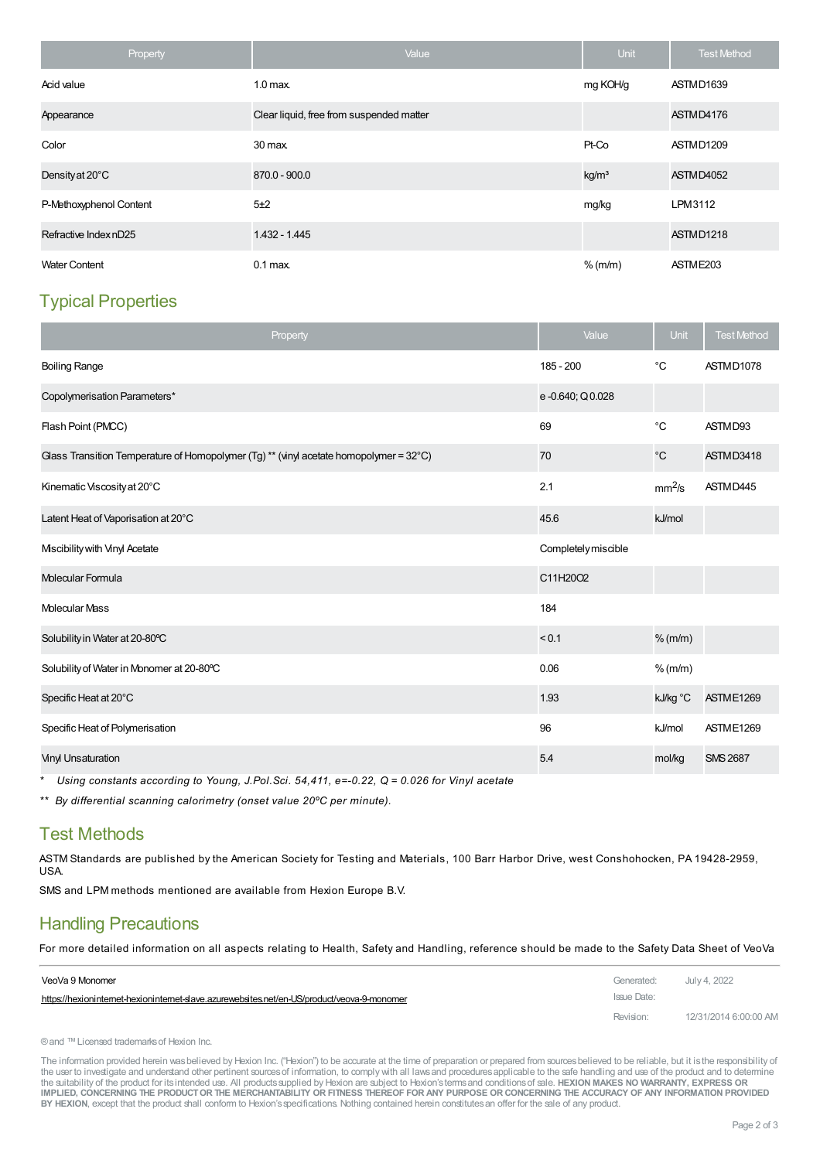| Property                | Value                                    | <b>Unit</b>       | <b>Test Method</b>   |
|-------------------------|------------------------------------------|-------------------|----------------------|
| Acid value              | 1.0 <sub>max</sub>                       | mg KOH/g          | ASTMD1639            |
| Appearance              | Clear liquid, free from suspended matter |                   | ASTMD4176            |
| Color                   | 30 max.                                  | Pt-Co             | ASTMD1209            |
| Density at 20°C         | 870.0 - 900.0                            | kg/m <sup>3</sup> | ASTMD4052            |
| P-Methoxyphenol Content | 5±2                                      | mg/kg             | LPM3112              |
| Refractive Index nD25   | 1.432 - 1.445                            |                   | ASTMD1218            |
| <b>Water Content</b>    | $0.1$ max                                | $%$ (m/m)         | ASTME <sub>203</sub> |

# Typical Properties

| Property                                                                               | Value               | Unit               | <b>Test Method</b> |
|----------------------------------------------------------------------------------------|---------------------|--------------------|--------------------|
| <b>Boiling Range</b>                                                                   | 185 - 200           | °C                 | ASTMD1078          |
| Copolymerisation Parameters*                                                           | e-0.640; Q0.028     |                    |                    |
| Flash Point (PMCC)                                                                     | 69                  | $^{\circ}C$        | ASTMD93            |
| Glass Transition Temperature of Homopolymer (Tg) ** (vinyl acetate homopolymer = 32°C) | 70                  | $^{\circ}{\rm C}$  | ASTMD3418          |
| Kinematic Viscosity at 20°C                                                            | 2.1                 | mm <sup>2</sup> /s | ASTMD445           |
| Latent Heat of Vaporisation at 20°C                                                    | 45.6                | kJ/mol             |                    |
| Miscibility with Vinyl Acetate                                                         | Completely miscible |                    |                    |
| Molecular Formula                                                                      | C11H20O2            |                    |                    |
| <b>Molecular Mass</b>                                                                  | 184                 |                    |                    |
| Solubility in Water at 20-80°C                                                         | < 0.1               | $%$ (m/m)          |                    |
| Solubility of Water in Monomer at 20-80°C                                              | 0.06                | $%$ (m/m)          |                    |
| Specific Heat at 20°C                                                                  | 1.93                | kJ/kg °C           | ASTME1269          |
| Specific Heat of Polymerisation                                                        | 96                  | kJ/mol             | ASTME1269          |
| <b>Vinyl Unsaturation</b>                                                              | 5.4                 | mol/kg             | <b>SMS 2687</b>    |

*\* Using constants according to Young, J.Pol.Sci. 54,411, e=-0.22, Q = 0.026 for Vinyl acetate*

*\*\* By differential scanning calorimetry (onset value 20ºC per minute).*

## Test Methods

ASTM Standards are published by the American Society for Testing and Materials, 100 Barr Harbor Drive, west Conshohocken, PA 19428-2959, USA.

SMS and LPM methods mentioned are available from Hexion Europe B.V.

# Handling Precautions

For more detailed [information](https://hexioninternet-hexioninternet-slave.azurewebsites.net/en-US/product/veova-9-monomer) on all aspects relating to Health, Safety and Handling, reference should be made to the Safety Data Sheet of VeoVa

| VeoVa 9 Monomer                                                                           | Generated:  | July 4, 2022          |
|-------------------------------------------------------------------------------------------|-------------|-----------------------|
| https://hexionintemet-hexionintemet-slave.azurewebsites.net/en-US/product/veova-9-monomer | Issue Date: |                       |
|                                                                                           | Revision:   | 12/31/2014 6:00:00 AM |

® and ™ Licensed trademarks of Hexion Inc.

The information provided herein was believed by Hexion Inc. ("Hexion") to be accurate at the time of preparation or prepared from sources believed to be reliable, but it is the responsibility of the user to investigate and understand other pertinent sources of information, to comply with all laws and procedures applicable to the safe handling and use of the product and to determine the suitability of the product for itsintended use. All productssupplied by Hexion are subject to Hexion'stermsand conditionsof sale. **HEXION MAKES NO WARRANTY, EXPRESS OR** IMPLIED, CONCERNING THE PRODUCT OR THE MERCHANTABILITY OR FITNESS THEREOF FOR ANY PURPOSE OR CONCERNING THE ACCURACY OF ANY INFORMATION PROVIDED **BY HEXION**, except that the product shall conform to Hexion'sspecifications. Nothing contained herein constitutesan offer for the sale of any product.